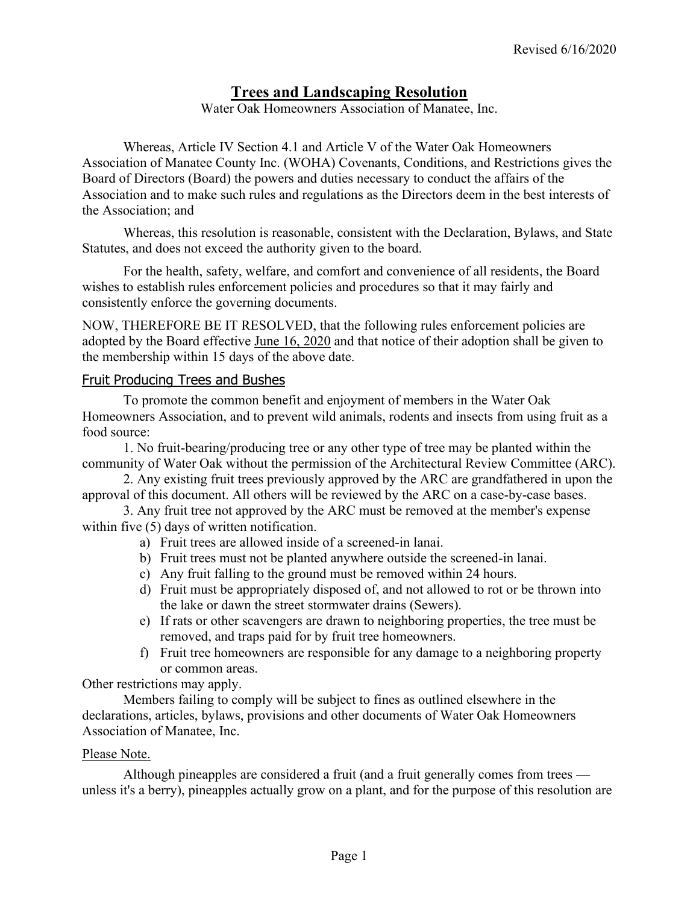# **Trees and Landscaping Resolution**

Water Oak Homeowners Association of Manatee, Inc.

Whereas, Article IV Section 4.1 and Article V of the Water Oak Homeowners Association of Manatee County Inc. (WOHA) Covenants, Conditions, and Restrictions gives the Board of Directors (Board) the powers and duties necessary to conduct the affairs of the Association and to make such rules and regulations as the Directors deem in the best interests of the Association; and

Whereas, this resolution is reasonable, consistent with the Declaration, Bylaws, and State Statutes, and does not exceed the authority given to the board.

For the health, safety, welfare, and comfort and convenience of all residents, the Board wishes to establish rules enforcement policies and procedures so that it may fairly and consistently enforce the governing documents.

NOW, THEREFORE BE IT RESOLVED, that the following rules enforcement policies are adopted by the Board effective June 16, 2020 and that notice of their adoption shall be given to the membership within 15 days of the above date.

### Fruit Producing Trees and Bushes

To promote the common benefit and enjoyment of members in the Water Oak Homeowners Association, and to prevent wild animals, rodents and insects from using fruit as a food source:

1. No fruit-bearing/producing tree or any other type of tree may be planted within the community of Water Oak without the permission of the Architectural Review Committee (ARC).

2. Any existing fruit trees previously approved by the ARC are grandfathered in upon the approval of this document. All others will be reviewed by the ARC on a case-by-case bases.

3. Any fruit tree not approved by the ARC must be removed at the member's expense within five (5) days of written notification.

- a) Fruit trees are allowed inside of a screened-in lanai.
- b) Fruit trees must not be planted anywhere outside the screened-in lanai.
- c) Any fruit falling to the ground must be removed within 24 hours.
- d) Fruit must be appropriately disposed of, and not allowed to rot or be thrown into the lake or dawn the street stormwater drains (Sewers).
- e) If rats or other scavengers are drawn to neighboring properties, the tree must be removed, and traps paid for by fruit tree homeowners.
- f) Fruit tree homeowners are responsible for any damage to a neighboring property or common areas.

Other restrictions may apply.

Members failing to comply will be subject to fines as outlined elsewhere in the declarations, articles, bylaws, provisions and other documents of Water Oak Homeowners Association of Manatee, Inc.

#### Please Note.

Although pineapples are considered a fruit (and a fruit generally comes from trees unless it's a berry), pineapples actually grow on a plant, and for the purpose of this resolution are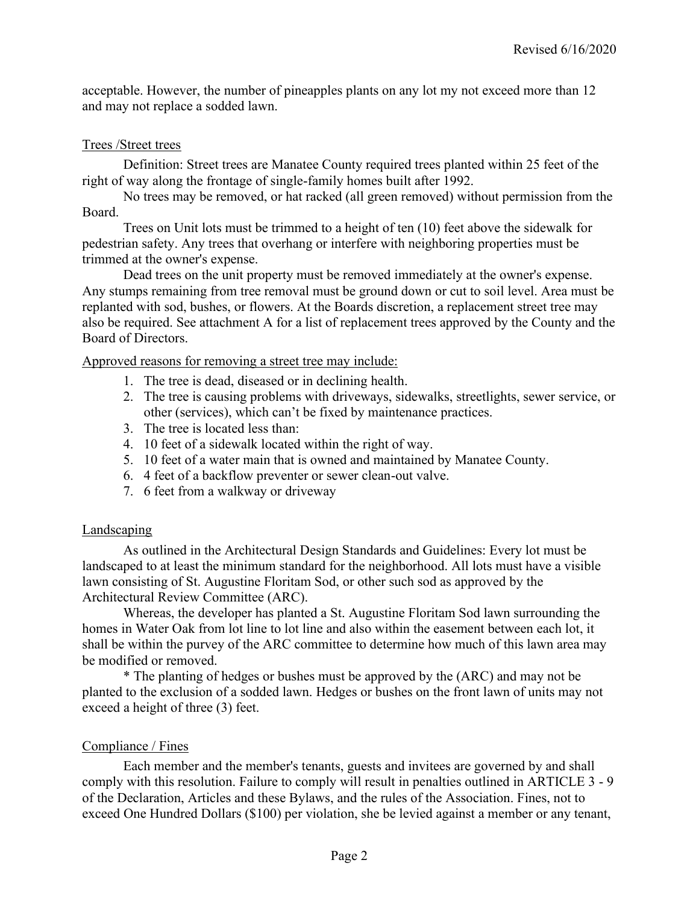acceptable. However, the number of pineapples plants on any lot my not exceed more than 12 and may not replace a sodded lawn.

#### Trees /Street trees

Definition: Street trees are Manatee County required trees planted within 25 feet of the right of way along the frontage of single-family homes built after 1992.

No trees may be removed, or hat racked (all green removed) without permission from the Board.

Trees on Unit lots must be trimmed to a height of ten (10) feet above the sidewalk for pedestrian safety. Any trees that overhang or interfere with neighboring properties must be trimmed at the owner's expense.

Dead trees on the unit property must be removed immediately at the owner's expense. Any stumps remaining from tree removal must be ground down or cut to soil level. Area must be replanted with sod, bushes, or flowers. At the Boards discretion, a replacement street tree may also be required. See attachment A for a list of replacement trees approved by the County and the Board of Directors.

Approved reasons for removing a street tree may include:

- 1. The tree is dead, diseased or in declining health.
- 2. The tree is causing problems with driveways, sidewalks, streetlights, sewer service, or other (services), which can't be fixed by maintenance practices.
- 3. The tree is located less than:
- 4. 10 feet of a sidewalk located within the right of way.
- 5. 10 feet of a water main that is owned and maintained by Manatee County.
- 6. 4 feet of a backflow preventer or sewer clean-out valve.
- 7. 6 feet from a walkway or driveway

#### Landscaping

As outlined in the Architectural Design Standards and Guidelines: Every lot must be landscaped to at least the minimum standard for the neighborhood. All lots must have a visible lawn consisting of St. Augustine Floritam Sod, or other such sod as approved by the Architectural Review Committee (ARC).

Whereas, the developer has planted a St. Augustine Floritam Sod lawn surrounding the homes in Water Oak from lot line to lot line and also within the easement between each lot, it shall be within the purvey of the ARC committee to determine how much of this lawn area may be modified or removed.

\* The planting of hedges or bushes must be approved by the (ARC) and may not be planted to the exclusion of a sodded lawn. Hedges or bushes on the front lawn of units may not exceed a height of three (3) feet.

#### Compliance / Fines

Each member and the member's tenants, guests and invitees are governed by and shall comply with this resolution. Failure to comply will result in penalties outlined in ARTICLE 3 - 9 of the Declaration, Articles and these Bylaws, and the rules of the Association. Fines, not to exceed One Hundred Dollars (\$100) per violation, she be levied against a member or any tenant,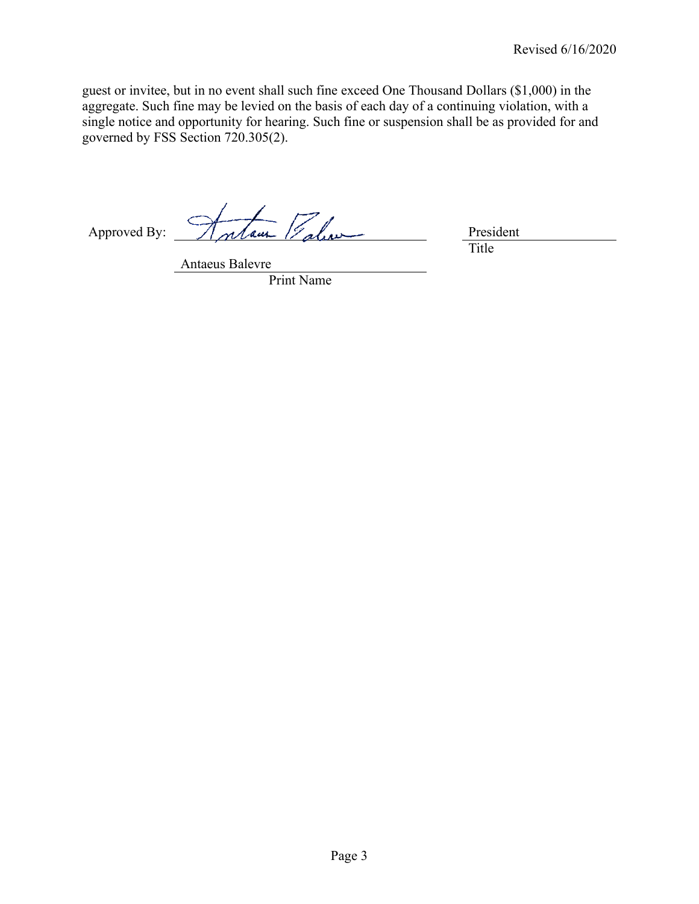guest or invitee, but in no event shall such fine exceed One Thousand Dollars (\$1,000) in the aggregate. Such fine may be levied on the basis of each day of a continuing violation, with a single notice and opportunity for hearing. Such fine or suspension shall be as provided for and governed by FSS Section 720.305(2).

Approved By: Antaur Palice

Title

Antaeus Balevre

Print Name